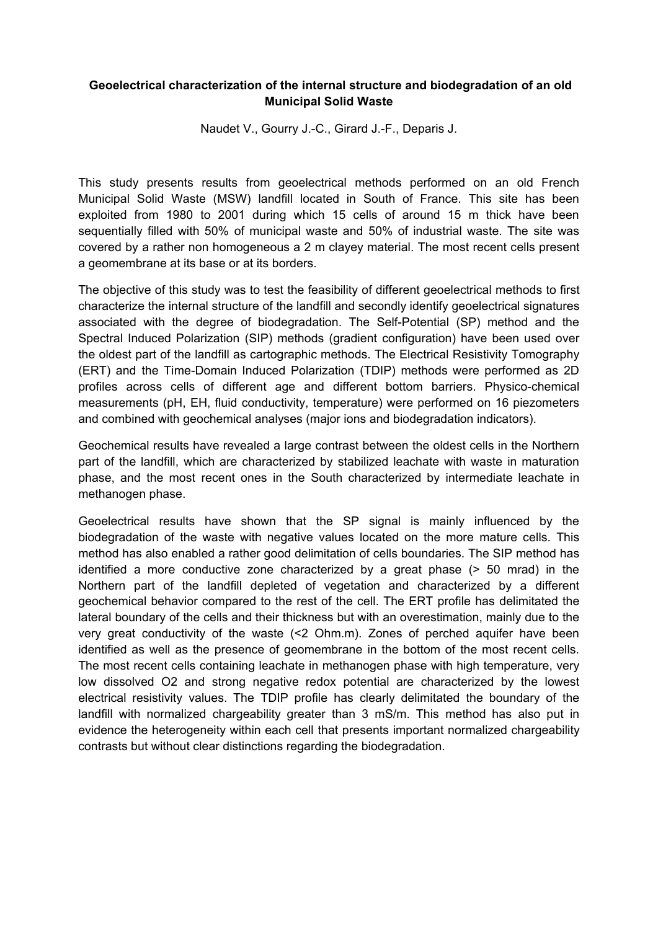## **Geoelectrical characterization of the internal structure and biodegradation of an old Municipal Solid Waste**

Naudet V., Gourry J.-C., Girard J.-F., Deparis J.

This study presents results from geoelectrical methods performed on an old French Municipal Solid Waste (MSW) landfill located in South of France. This site has been exploited from 1980 to 2001 during which 15 cells of around 15 m thick have been sequentially filled with 50% of municipal waste and 50% of industrial waste. The site was covered by a rather non homogeneous a 2 m clayey material. The most recent cells present a geomembrane at its base or at its borders.

The objective of this study was to test the feasibility of different geoelectrical methods to first characterize the internal structure of the landfill and secondly identify geoelectrical signatures associated with the degree of biodegradation. The Self-Potential (SP) method and the Spectral Induced Polarization (SIP) methods (gradient configuration) have been used over the oldest part of the landfill as cartographic methods. The Electrical Resistivity Tomography (ERT) and the Time-Domain Induced Polarization (TDIP) methods were performed as 2D profiles across cells of different age and different bottom barriers. Physico-chemical measurements (pH, EH, fluid conductivity, temperature) were performed on 16 piezometers and combined with geochemical analyses (major ions and biodegradation indicators).

Geochemical results have revealed a large contrast between the oldest cells in the Northern part of the landfill, which are characterized by stabilized leachate with waste in maturation phase, and the most recent ones in the South characterized by intermediate leachate in methanogen phase.

Geoelectrical results have shown that the SP signal is mainly influenced by the biodegradation of the waste with negative values located on the more mature cells. This method has also enabled a rather good delimitation of cells boundaries. The SIP method has identified a more conductive zone characterized by a great phase (> 50 mrad) in the Northern part of the landfill depleted of vegetation and characterized by a different geochemical behavior compared to the rest of the cell. The ERT profile has delimitated the lateral boundary of the cells and their thickness but with an overestimation, mainly due to the very great conductivity of the waste (<2 Ohm.m). Zones of perched aquifer have been identified as well as the presence of geomembrane in the bottom of the most recent cells. The most recent cells containing leachate in methanogen phase with high temperature, very low dissolved O2 and strong negative redox potential are characterized by the lowest electrical resistivity values. The TDIP profile has clearly delimitated the boundary of the landfill with normalized chargeability greater than 3 mS/m. This method has also put in evidence the heterogeneity within each cell that presents important normalized chargeability contrasts but without clear distinctions regarding the biodegradation.